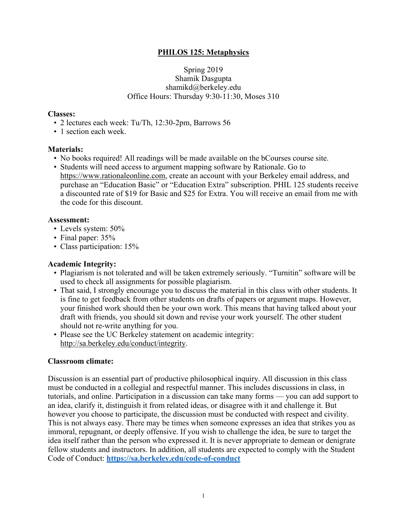### **PHILOS 125: Metaphysics**

#### Spring 2019 Shamik Dasgupta shamikd@berkeley.edu Office Hours: Thursday 9:30-11:30, Moses 310

#### **Classes:**

- 2 lectures each week: Tu/Th, 12:30-2pm, Barrows 56
- 1 section each week.

#### **Materials:**

- No books required! All readings will be made available on the bCourses course site.
- Students will need access to argument mapping software by Rationale. Go to https://www.rationaleonline.com, create an account with your Berkeley email address, and purchase an "Education Basic" or "Education Extra" subscription. PHIL 125 students receive a discounted rate of \$19 for Basic and \$25 for Extra. You will receive an email from me with the code for this discount.

#### **Assessment:**

- Levels system: 50%
- Final paper: 35%
- Class participation: 15%

#### **Academic Integrity:**

- Plagiarism is not tolerated and will be taken extremely seriously. "Turnitin" software will be used to check all assignments for possible plagiarism.
- That said, I strongly encourage you to discuss the material in this class with other students. It is fine to get feedback from other students on drafts of papers or argument maps. However, your finished work should then be your own work. This means that having talked about your draft with friends, you should sit down and revise your work yourself. The other student should not re-write anything for you.
- Please see the UC Berkeley statement on academic integrity: http://sa.berkeley.edu/conduct/integrity.

#### **Classroom climate:**

Discussion is an essential part of productive philosophical inquiry. All discussion in this class must be conducted in a collegial and respectful manner. This includes discussions in class, in tutorials, and online. Participation in a discussion can take many forms — you can add support to an idea, clarify it, distinguish it from related ideas, or disagree with it and challenge it. But however you choose to participate, the discussion must be conducted with respect and civility. This is not always easy. There may be times when someone expresses an idea that strikes you as immoral, repugnant, or deeply offensive. If you wish to challenge the idea, be sure to target the idea itself rather than the person who expressed it. It is never appropriate to demean or denigrate fellow students and instructors. In addition, all students are expected to comply with the Student Code of Conduct: **https://sa.berkeley.edu/code-of-conduct**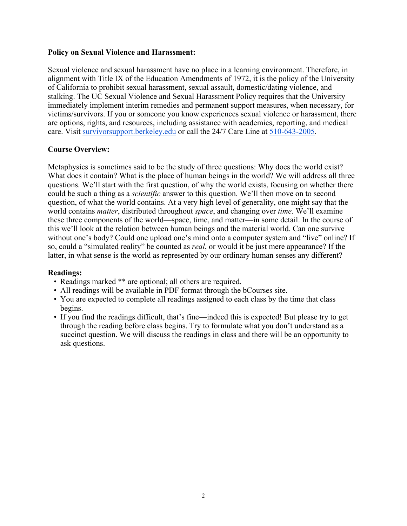#### **Policy on Sexual Violence and Harassment:**

Sexual violence and sexual harassment have no place in a learning environment. Therefore, in alignment with Title IX of the Education Amendments of 1972, it is the policy of the University of California to prohibit sexual harassment, sexual assault, domestic/dating violence, and stalking. The UC Sexual Violence and Sexual Harassment Policy requires that the University immediately implement interim remedies and permanent support measures, when necessary, for victims/survivors. If you or someone you know experiences sexual violence or harassment, there are options, rights, and resources, including assistance with academics, reporting, and medical care. Visit survivorsupport.berkeley.edu or call the 24/7 Care Line at 510-643-2005.

### **Course Overview:**

Metaphysics is sometimes said to be the study of three questions: Why does the world exist? What does it contain? What is the place of human beings in the world? We will address all three questions. We'll start with the first question, of why the world exists, focusing on whether there could be such a thing as a *scientific* answer to this question. We'll then move on to second question, of what the world contains. At a very high level of generality, one might say that the world contains *matter*, distributed throughout *space*, and changing over *time*. We'll examine these three components of the world—space, time, and matter—in some detail. In the course of this we'll look at the relation between human beings and the material world. Can one survive without one's body? Could one upload one's mind onto a computer system and "live" online? If so, could a "simulated reality" be counted as *real*, or would it be just mere appearance? If the latter, in what sense is the world as represented by our ordinary human senses any different?

#### **Readings:**

- Readings marked \*\* are optional; all others are required.
- All readings will be available in PDF format through the bCourses site.
- You are expected to complete all readings assigned to each class by the time that class begins.
- If you find the readings difficult, that's fine—indeed this is expected! But please try to get through the reading before class begins. Try to formulate what you don't understand as a succinct question. We will discuss the readings in class and there will be an opportunity to ask questions.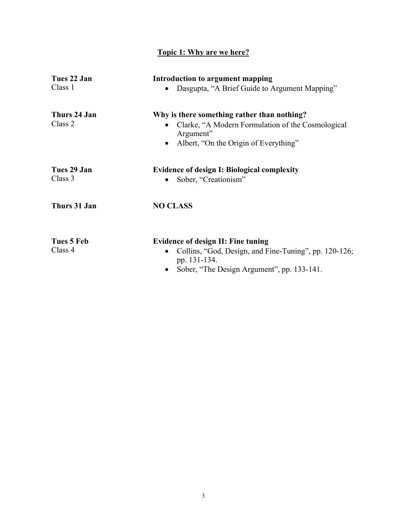# **Topic 1: Why are we here?**

| Tues 22 Jan<br>Class 1  | Introduction to argument mapping<br>Dasgupta, "A Brief Guide to Argument Mapping"                                                                                   |
|-------------------------|---------------------------------------------------------------------------------------------------------------------------------------------------------------------|
| Thurs 24 Jan<br>Class 2 | Why is there something rather than nothing?<br>Clarke, "A Modern Formulation of the Cosmological<br>Argument"<br>Albert, "On the Origin of Everything"<br>$\bullet$ |
| Tues 29 Jan<br>Class 3  | <b>Evidence of design I: Biological complexity</b><br>Sober, "Creationism"                                                                                          |
| Thurs 31 Jan            | <b>NO CLASS</b>                                                                                                                                                     |
| Tues 5 Feb<br>Class 4   | <b>Evidence of design II: Fine tuning</b><br>Collins, "God, Design, and Fine-Tuning", pp. 120-126;<br>pp. 131-134.<br>Sober, "The Design Argument", pp. 133-141.    |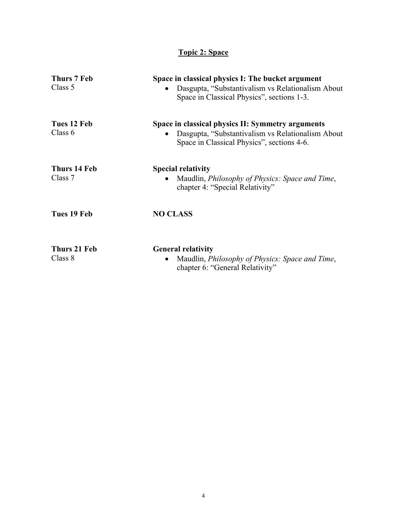## **Topic 2: Space**

| Thurs 7 Feb<br>Class 5   | Space in classical physics I: The bucket argument<br>Dasgupta, "Substantivalism vs Relationalism About<br>Space in Classical Physics", sections 1-3. |
|--------------------------|------------------------------------------------------------------------------------------------------------------------------------------------------|
| Tues 12 Feb<br>Class $6$ | Space in classical physics II: Symmetry arguments<br>Dasgupta, "Substantivalism vs Relationalism About<br>Space in Classical Physics", sections 4-6. |
| Thurs 14 Feb<br>Class 7  | <b>Special relativity</b><br>Maudlin, <i>Philosophy of Physics: Space and Time</i> ,<br>$\bullet$<br>chapter 4: "Special Relativity"                 |
| Tues 19 Feb              | <b>NO CLASS</b>                                                                                                                                      |
| Thurs 21 Feb<br>Class 8  | <b>General relativity</b><br>Maudlin, <i>Philosophy of Physics: Space and Time</i> ,<br>chapter 6: "General Relativity"                              |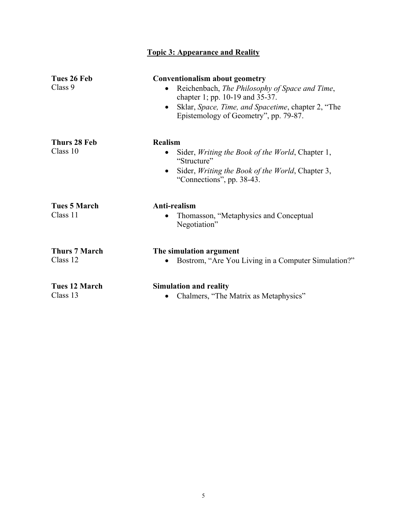| Tues 26 Feb<br>Class 9           | <b>Conventionalism about geometry</b><br>Reichenbach, The Philosophy of Space and Time,<br>$\bullet$<br>chapter 1; pp. 10-19 and 35-37.<br>Sklar, Space, Time, and Spacetime, chapter 2, "The<br>$\bullet$<br>Epistemology of Geometry", pp. 79-87. |
|----------------------------------|-----------------------------------------------------------------------------------------------------------------------------------------------------------------------------------------------------------------------------------------------------|
| Thurs 28 Feb<br>Class 10         | <b>Realism</b><br>Sider, <i>Writing the Book of the World</i> , Chapter 1,<br>"Structure"<br>Sider, Writing the Book of the World, Chapter 3,<br>٠<br>"Connections", pp. 38-43.                                                                     |
| <b>Tues 5 March</b><br>Class 11  | Anti-realism<br>Thomasson, "Metaphysics and Conceptual<br>Negotiation"                                                                                                                                                                              |
| <b>Thurs 7 March</b><br>Class 12 | The simulation argument<br>Bostrom, "Are You Living in a Computer Simulation?"                                                                                                                                                                      |
| <b>Tues 12 March</b><br>Class 13 | <b>Simulation and reality</b><br>Chalmers, "The Matrix as Metaphysics"<br>٠                                                                                                                                                                         |

**Topic 3: Appearance and Reality**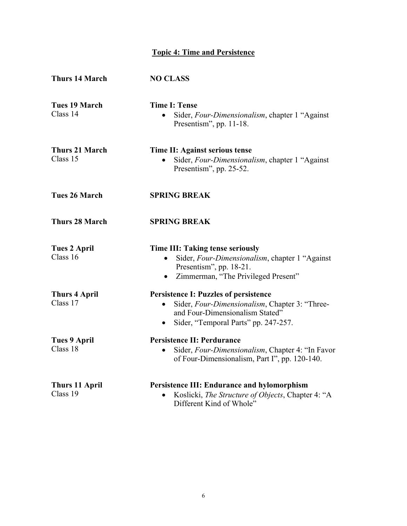# **Topic 4: Time and Persistence**

| <b>Thurs 14 March</b>             | <b>NO CLASS</b>                                                                                                                                                                                     |
|-----------------------------------|-----------------------------------------------------------------------------------------------------------------------------------------------------------------------------------------------------|
| <b>Tues 19 March</b><br>Class 14  | <b>Time I: Tense</b><br>Sider, Four-Dimensionalism, chapter 1 "Against<br>Presentism", pp. 11-18.                                                                                                   |
| <b>Thurs 21 March</b><br>Class 15 | Time II: Against serious tense<br>Sider, Four-Dimensionalism, chapter 1 "Against"<br>Presentism", pp. 25-52.                                                                                        |
| <b>Tues 26 March</b>              | <b>SPRING BREAK</b>                                                                                                                                                                                 |
| <b>Thurs 28 March</b>             | <b>SPRING BREAK</b>                                                                                                                                                                                 |
| <b>Tues 2 April</b><br>Class 16   | Time III: Taking tense seriously<br>Sider, Four-Dimensionalism, chapter 1 "Against<br>Presentism", pp. 18-21.<br>Zimmerman, "The Privileged Present"<br>$\bullet$                                   |
| <b>Thurs 4 April</b><br>Class 17  | <b>Persistence I: Puzzles of persistence</b><br>Sider, Four-Dimensionalism, Chapter 3: "Three-<br>$\bullet$<br>and Four-Dimensionalism Stated"<br>Sider, "Temporal Parts" pp. 247-257.<br>$\bullet$ |
| <b>Tues 9 April</b><br>Class 18   | <b>Persistence II: Perdurance</b><br>Sider, Four-Dimensionalism, Chapter 4: "In Favor<br>$\bullet$<br>of Four-Dimensionalism, Part I", pp. 120-140.                                                 |
| <b>Thurs 11 April</b><br>Class 19 | Persistence III: Endurance and hylomorphism<br>Koslicki, The Structure of Objects, Chapter 4: "A<br>Different Kind of Whole"                                                                        |